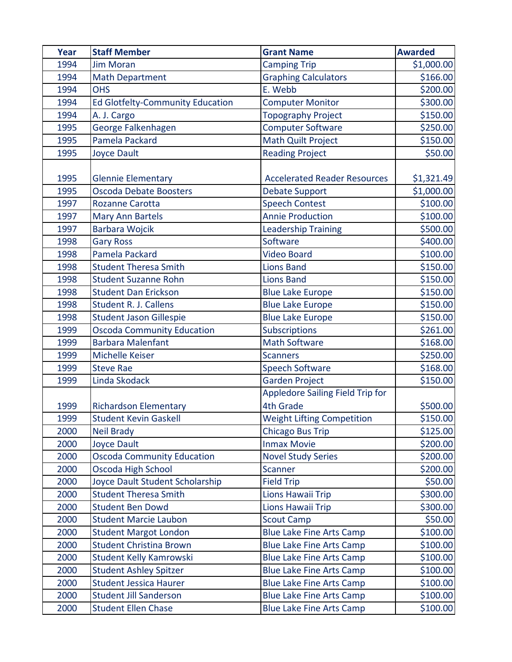| Year | <b>Staff Member</b>               | <b>Grant Name</b>                   | <b>Awarded</b> |
|------|-----------------------------------|-------------------------------------|----------------|
| 1994 | <b>Jim Moran</b>                  | <b>Camping Trip</b>                 | \$1,000.00     |
| 1994 | <b>Math Department</b>            | <b>Graphing Calculators</b>         | \$166.00       |
| 1994 | <b>OHS</b>                        | E. Webb                             | \$200.00       |
| 1994 | Ed Glotfelty-Community Education  | <b>Computer Monitor</b>             | \$300.00       |
| 1994 | A. J. Cargo                       | <b>Topography Project</b>           | \$150.00       |
| 1995 | George Falkenhagen                | <b>Computer Software</b>            | \$250.00       |
| 1995 | Pamela Packard                    | <b>Math Quilt Project</b>           | \$150.00       |
| 1995 | <b>Joyce Dault</b>                | <b>Reading Project</b>              | \$50.00        |
| 1995 | <b>Glennie Elementary</b>         | <b>Accelerated Reader Resources</b> | \$1,321.49     |
| 1995 | Oscoda Debate Boosters            | <b>Debate Support</b>               | \$1,000.00     |
| 1997 | <b>Rozanne Carotta</b>            | <b>Speech Contest</b>               | \$100.00       |
| 1997 | Mary Ann Bartels                  | <b>Annie Production</b>             | \$100.00       |
| 1997 | <b>Barbara Wojcik</b>             | <b>Leadership Training</b>          | \$500.00       |
| 1998 | <b>Gary Ross</b>                  | Software                            | \$400.00       |
| 1998 | Pamela Packard                    | <b>Video Board</b>                  | \$100.00       |
| 1998 | <b>Student Theresa Smith</b>      | <b>Lions Band</b>                   | \$150.00       |
| 1998 | <b>Student Suzanne Rohn</b>       | <b>Lions Band</b>                   | \$150.00       |
| 1998 | <b>Student Dan Erickson</b>       | <b>Blue Lake Europe</b>             | \$150.00       |
| 1998 | <b>Student R. J. Callens</b>      | <b>Blue Lake Europe</b>             | \$150.00       |
| 1998 | <b>Student Jason Gillespie</b>    | <b>Blue Lake Europe</b>             | \$150.00       |
| 1999 | <b>Oscoda Community Education</b> | <b>Subscriptions</b>                | \$261.00       |
| 1999 | <b>Barbara Malenfant</b>          | <b>Math Software</b>                | \$168.00       |
| 1999 | Michelle Keiser                   | <b>Scanners</b>                     | \$250.00       |
| 1999 | <b>Steve Rae</b>                  | <b>Speech Software</b>              | \$168.00       |
| 1999 | Linda Skodack                     | <b>Garden Project</b>               | \$150.00       |
|      |                                   | Appledore Sailing Field Trip for    |                |
| 1999 | <b>Richardson Elementary</b>      | <b>4th Grade</b>                    | \$500.00       |
| 1999 | <b>Student Kevin Gaskell</b>      | <b>Weight Lifting Competition</b>   | \$150.00       |
| 2000 | <b>Neil Brady</b>                 | <b>Chicago Bus Trip</b>             | \$125.00       |
| 2000 | <b>Joyce Dault</b>                | <b>Inmax Movie</b>                  | \$200.00       |
| 2000 | <b>Oscoda Community Education</b> | <b>Novel Study Series</b>           | \$200.00       |
| 2000 | Oscoda High School                | Scanner                             | \$200.00       |
| 2000 | Joyce Dault Student Scholarship   | <b>Field Trip</b>                   | \$50.00        |
| 2000 | <b>Student Theresa Smith</b>      | Lions Hawaii Trip                   | \$300.00       |
| 2000 | <b>Student Ben Dowd</b>           | Lions Hawaii Trip                   | \$300.00       |
| 2000 | <b>Student Marcie Laubon</b>      | <b>Scout Camp</b>                   | \$50.00        |
| 2000 | <b>Student Margot London</b>      | <b>Blue Lake Fine Arts Camp</b>     | \$100.00       |
| 2000 | <b>Student Christina Brown</b>    | <b>Blue Lake Fine Arts Camp</b>     | \$100.00       |
| 2000 | Student Kelly Kamrowski           | <b>Blue Lake Fine Arts Camp</b>     | \$100.00       |
| 2000 | <b>Student Ashley Spitzer</b>     | <b>Blue Lake Fine Arts Camp</b>     | \$100.00       |
| 2000 | <b>Student Jessica Haurer</b>     | <b>Blue Lake Fine Arts Camp</b>     | \$100.00       |
| 2000 | <b>Student Jill Sanderson</b>     | <b>Blue Lake Fine Arts Camp</b>     | \$100.00       |
| 2000 | <b>Student Ellen Chase</b>        | <b>Blue Lake Fine Arts Camp</b>     | \$100.00       |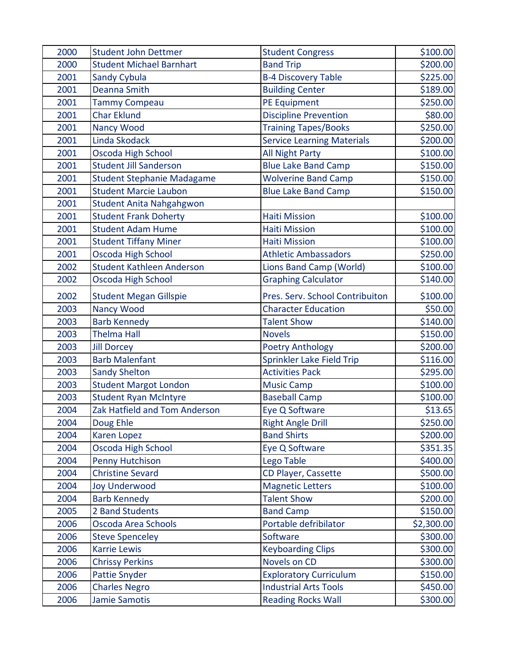| 2000 | <b>Student John Dettmer</b>       | <b>Student Congress</b>           | \$100.00   |
|------|-----------------------------------|-----------------------------------|------------|
| 2000 | <b>Student Michael Barnhart</b>   | <b>Band Trip</b>                  | \$200.00   |
| 2001 | Sandy Cybula                      | <b>B-4 Discovery Table</b>        | \$225.00   |
| 2001 | <b>Deanna Smith</b>               | <b>Building Center</b>            | \$189.00   |
| 2001 | <b>Tammy Compeau</b>              | PE Equipment                      | \$250.00   |
| 2001 | <b>Char Eklund</b>                | <b>Discipline Prevention</b>      | \$80.00    |
| 2001 | Nancy Wood                        | <b>Training Tapes/Books</b>       | \$250.00   |
| 2001 | Linda Skodack                     | <b>Service Learning Materials</b> | \$200.00   |
| 2001 | Oscoda High School                | All Night Party                   | \$100.00   |
| 2001 | <b>Student Jill Sanderson</b>     | <b>Blue Lake Band Camp</b>        | \$150.00   |
| 2001 | <b>Student Stephanie Madagame</b> | <b>Wolverine Band Camp</b>        | \$150.00   |
| 2001 | <b>Student Marcie Laubon</b>      | <b>Blue Lake Band Camp</b>        | \$150.00   |
| 2001 | Student Anita Nahgahgwon          |                                   |            |
| 2001 | <b>Student Frank Doherty</b>      | <b>Haiti Mission</b>              | \$100.00   |
| 2001 | <b>Student Adam Hume</b>          | <b>Haiti Mission</b>              | \$100.00   |
| 2001 | <b>Student Tiffany Miner</b>      | <b>Haiti Mission</b>              | \$100.00   |
| 2001 | Oscoda High School                | <b>Athletic Ambassadors</b>       | \$250.00   |
| 2002 | <b>Student Kathleen Anderson</b>  | Lions Band Camp (World)           | \$100.00   |
| 2002 | Oscoda High School                | <b>Graphing Calculator</b>        | \$140.00   |
| 2002 | <b>Student Megan Gillspie</b>     | Pres. Serv. School Contribuiton   | \$100.00   |
| 2003 | <b>Nancy Wood</b>                 | <b>Character Education</b>        | \$50.00    |
| 2003 | <b>Barb Kennedy</b>               | <b>Talent Show</b>                | \$140.00   |
| 2003 | <b>Thelma Hall</b>                | <b>Novels</b>                     | \$150.00   |
| 2003 | <b>Jill Dorcey</b>                | <b>Poetry Anthology</b>           | \$200.00   |
| 2003 | <b>Barb Malenfant</b>             | Sprinkler Lake Field Trip         | \$116.00   |
| 2003 | <b>Sandy Shelton</b>              | <b>Activities Pack</b>            | \$295.00   |
| 2003 | <b>Student Margot London</b>      | <b>Music Camp</b>                 | \$100.00   |
| 2003 | <b>Student Ryan McIntyre</b>      | <b>Baseball Camp</b>              | \$100.00   |
| 2004 | Zak Hatfield and Tom Anderson     | Eye Q Software                    | \$13.65    |
| 2004 | Doug Ehle                         | <b>Right Angle Drill</b>          | \$250.00   |
| 2004 | <b>Karen Lopez</b>                | <b>Band Shirts</b>                | \$200.00   |
| 2004 | Oscoda High School                | Eye Q Software                    | \$351.35   |
| 2004 | Penny Hutchison                   | Lego Table                        | \$400.00   |
| 2004 | <b>Christine Sevard</b>           | CD Player, Cassette               | \$500.00   |
| 2004 | <b>Joy Underwood</b>              | <b>Magnetic Letters</b>           | \$100.00   |
| 2004 | <b>Barb Kennedy</b>               | <b>Talent Show</b>                | \$200.00   |
| 2005 | 2 Band Students                   | <b>Band Camp</b>                  | \$150.00   |
| 2006 | Oscoda Area Schools               | Portable defribilator             | \$2,300.00 |
| 2006 | <b>Steve Spenceley</b>            | Software                          | \$300.00   |
| 2006 | <b>Karrie Lewis</b>               | <b>Keyboarding Clips</b>          | \$300.00   |
| 2006 | <b>Chrissy Perkins</b>            | Novels on CD                      | \$300.00   |
| 2006 | <b>Pattie Snyder</b>              | <b>Exploratory Curriculum</b>     | \$150.00   |
| 2006 | <b>Charles Negro</b>              | <b>Industrial Arts Tools</b>      | \$450.00   |
| 2006 | <b>Jamie Samotis</b>              | <b>Reading Rocks Wall</b>         | \$300.00   |